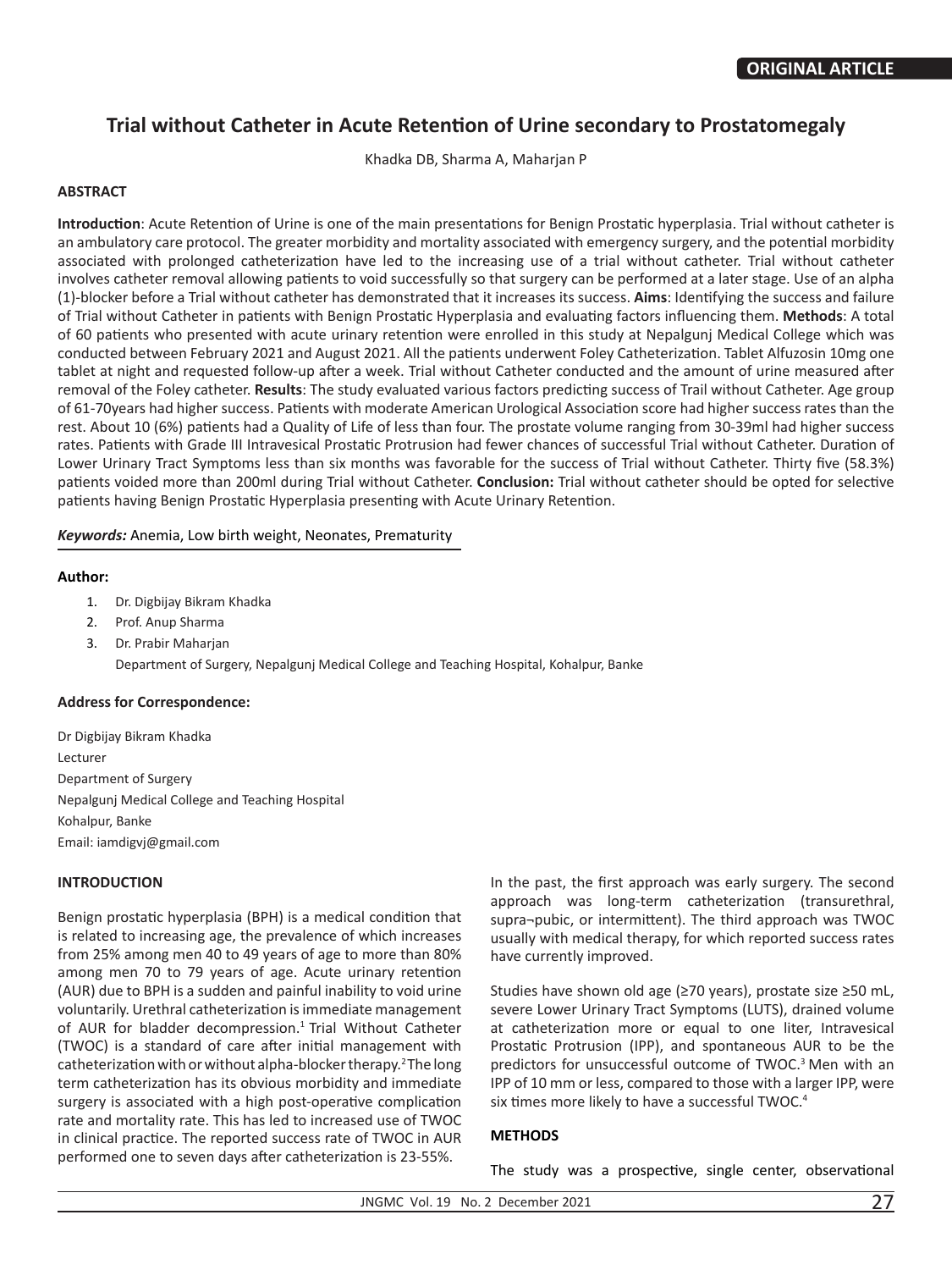# **Trial without Catheter in Acute Retention of Urine secondary to Prostatomegaly**

Khadka DB, Sharma A, Maharjan P

# **ABSTRACT**

**Introduction**: Acute Retention of Urine is one of the main presentations for Benign Prostatic hyperplasia. Trial without catheter is an ambulatory care protocol. The greater morbidity and mortality associated with emergency surgery, and the potential morbidity associated with prolonged catheterization have led to the increasing use of a trial without catheter. Trial without catheter involves catheter removal allowing patients to void successfully so that surgery can be performed at a later stage. Use of an alpha (1)-blocker before a Trial without catheter has demonstrated that it increases its success. **Aims**: Identifying the success and failure of Trial without Catheter in patients with Benign Prostatic Hyperplasia and evaluating factors influencing them. **Methods**: A total of 60 patients who presented with acute urinary retention were enrolled in this study at Nepalgunj Medical College which was conducted between February 2021 and August 2021. All the patients underwent Foley Catheterization. Tablet Alfuzosin 10mg one tablet at night and requested follow-up after a week. Trial without Catheter conducted and the amount of urine measured after removal of the Foley catheter. **Results**: The study evaluated various factors predicting success of Trail without Catheter. Age group of 61-70years had higher success. Patients with moderate American Urological Association score had higher success rates than the rest. About 10 (6%) patients had a Quality of Life of less than four. The prostate volume ranging from 30-39ml had higher success rates. Patients with Grade III Intravesical Prostatic Protrusion had fewer chances of successful Trial without Catheter. Duration of Lower Urinary Tract Symptoms less than six months was favorable for the success of Trial without Catheter. Thirty five (58.3%) patients voided more than 200ml during Trial without Catheter. **Conclusion:** Trial without catheter should be opted for selective patients having Benign Prostatic Hyperplasia presenting with Acute Urinary Retention.

*Keywords:* Anemia, Low birth weight, Neonates, Prematurity

#### **Author:**

- 1. Dr. Digbijay Bikram Khadka
- 2. Prof. Anup Sharma
- 3. Dr. Prabir Maharjan Department of Surgery, Nepalgunj Medical College and Teaching Hospital, Kohalpur, Banke

#### **Address for Correspondence:**

Dr Digbijay Bikram Khadka Lecturer Department of Surgery Nepalgunj Medical College and Teaching Hospital Kohalpur, Banke Email: iamdigvj@gmail.com

# **INTRODUCTION**

Benign prostatic hyperplasia (BPH) is a medical condition that is related to increasing age, the prevalence of which increases from 25% among men 40 to 49 years of age to more than 80% among men 70 to 79 years of age. Acute urinary retention (AUR) due to BPH is a sudden and painful inability to void urine voluntarily. Urethral catheterization is immediate management of AUR for bladder decompression.<sup>1</sup> Trial Without Catheter (TWOC) is a standard of care after initial management with catheterization with or without alpha-blocker therapy.<sup>2</sup>The long term catheterization has its obvious morbidity and immediate surgery is associated with a high post-operative complication rate and mortality rate. This has led to increased use of TWOC in clinical practice. The reported success rate of TWOC in AUR performed one to seven days after catheterization is 23-55%.

In the past, the first approach was early surgery. The second approach was long-term catheterization (transurethral, supra¬pubic, or intermittent). The third approach was TWOC usually with medical therapy, for which reported success rates have currently improved.

Studies have shown old age (≥70 years), prostate size ≥50 mL, severe Lower Urinary Tract Symptoms (LUTS), drained volume at catheterization more or equal to one liter, Intravesical Prostatic Protrusion (IPP), and spontaneous AUR to be the predictors for unsuccessful outcome of TWOC.<sup>3</sup> Men with an IPP of 10 mm or less, compared to those with a larger IPP, were six times more likely to have a successful TWOC.<sup>4</sup>

#### **METHODS**

The study was a prospective, single center, observational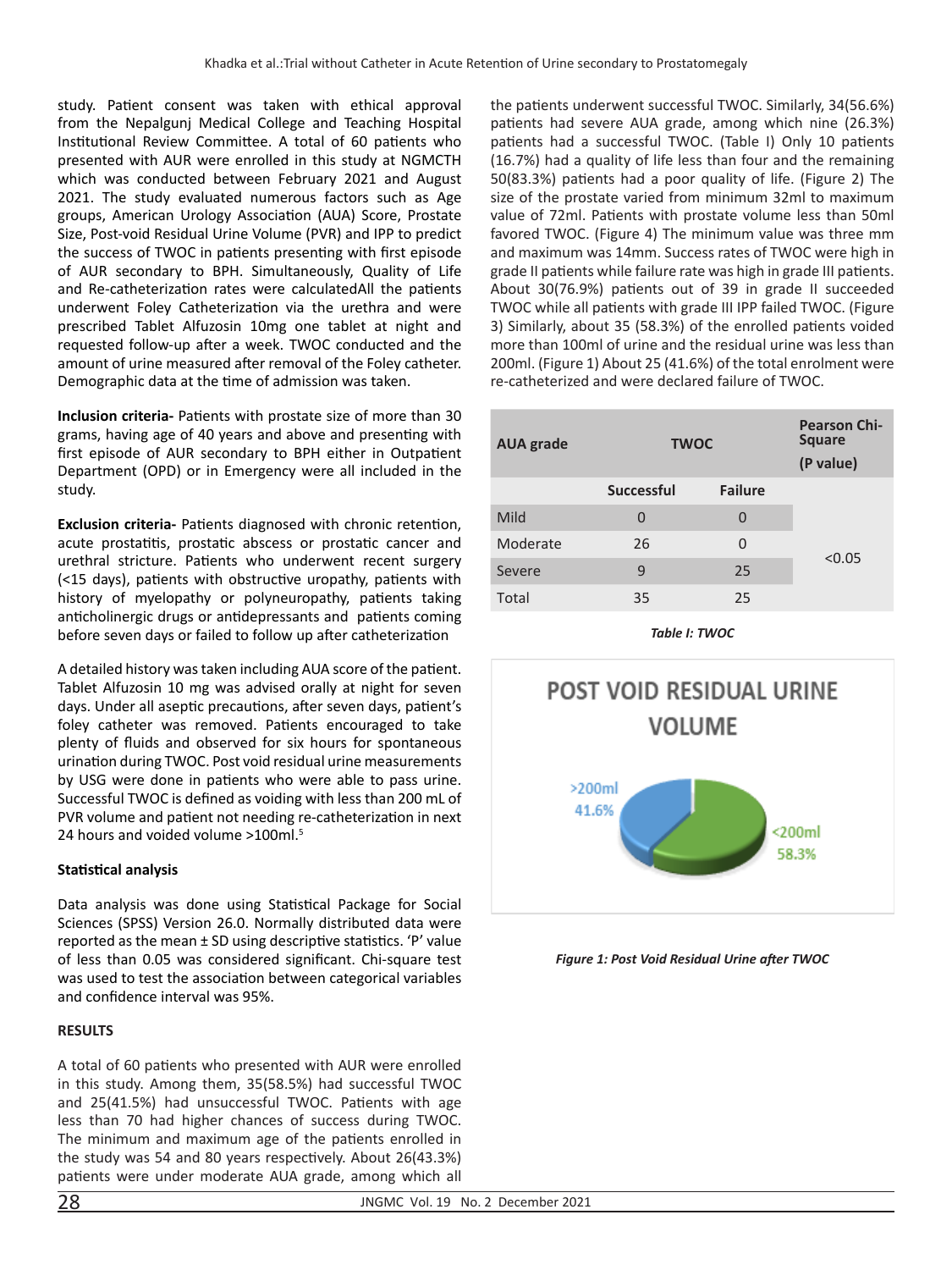study. Patient consent was taken with ethical approval from the Nepalgunj Medical College and Teaching Hospital Institutional Review Committee. A total of 60 patients who presented with AUR were enrolled in this study at NGMCTH which was conducted between February 2021 and August 2021. The study evaluated numerous factors such as Age groups, American Urology Association (AUA) Score, Prostate Size, Post-void Residual Urine Volume (PVR) and IPP to predict the success of TWOC in patients presenting with first episode of AUR secondary to BPH. Simultaneously, Quality of Life and Re-catheterization rates were calculatedAll the patients underwent Foley Catheterization via the urethra and were prescribed Tablet Alfuzosin 10mg one tablet at night and requested follow-up after a week. TWOC conducted and the amount of urine measured after removal of the Foley catheter. Demographic data at the time of admission was taken.

**Inclusion criteria-** Patients with prostate size of more than 30 grams, having age of 40 years and above and presenting with first episode of AUR secondary to BPH either in Outpatient Department (OPD) or in Emergency were all included in the study.

**Exclusion criteria-** Patients diagnosed with chronic retention, acute prostatitis, prostatic abscess or prostatic cancer and urethral stricture. Patients who underwent recent surgery (<15 days), patients with obstructive uropathy, patients with history of myelopathy or polyneuropathy, patients taking anticholinergic drugs or antidepressants and patients coming before seven days or failed to follow up after catheterization

A detailed history was taken including AUA score of the patient. Tablet Alfuzosin 10 mg was advised orally at night for seven days. Under all aseptic precautions, after seven days, patient's foley catheter was removed. Patients encouraged to take plenty of fluids and observed for six hours for spontaneous urination during TWOC. Post void residual urine measurements by USG were done in patients who were able to pass urine. Successful TWOC is defined as voiding with less than 200 mL of PVR volume and patient not needing re-catheterization in next 24 hours and voided volume >100ml.<sup>5</sup>

# **Statistical analysis**

Data analysis was done using Statistical Package for Social Sciences (SPSS) Version 26.0. Normally distributed data were reported as the mean ± SD using descriptive statistics. 'P' value of less than 0.05 was considered significant. Chi-square test was used to test the association between categorical variables and confidence interval was 95%.

#### **RESULTS**

A total of 60 patients who presented with AUR were enrolled in this study. Among them, 35(58.5%) had successful TWOC and 25(41.5%) had unsuccessful TWOC. Patients with age less than 70 had higher chances of success during TWOC. The minimum and maximum age of the patients enrolled in the study was 54 and 80 years respectively. About 26(43.3%) patients were under moderate AUA grade, among which all the patients underwent successful TWOC. Similarly, 34(56.6%) patients had severe AUA grade, among which nine (26.3%) patients had a successful TWOC. (Table I) Only 10 patients (16.7%) had a quality of life less than four and the remaining 50(83.3%) patients had a poor quality of life. (Figure 2) The size of the prostate varied from minimum 32ml to maximum value of 72ml. Patients with prostate volume less than 50ml favored TWOC. (Figure 4) The minimum value was three mm and maximum was 14mm. Success rates of TWOC were high in grade II patients while failure rate was high in grade III patients. About 30(76.9%) patients out of 39 in grade II succeeded TWOC while all patients with grade III IPP failed TWOC. (Figure 3) Similarly, about 35 (58.3%) of the enrolled patients voided more than 100ml of urine and the residual urine was less than 200ml. (Figure 1) About 25 (41.6%) of the total enrolment were re-catheterized and were declared failure of TWOC.

| <b>AUA</b> grade | <b>TWOC</b>       |                | <b>Pearson Chi-</b><br><b>Square</b><br>(P value) |
|------------------|-------------------|----------------|---------------------------------------------------|
|                  | <b>Successful</b> | <b>Failure</b> |                                                   |
| Mild             | 0                 | 0              | < 0.05                                            |
| Moderate         | 26                | 0              |                                                   |
| Severe           | 9                 | 25             |                                                   |
| Total            | 35                | 25             |                                                   |

*Table I: TWOC*



*Figure 1: Post Void Residual Urine after TWOC*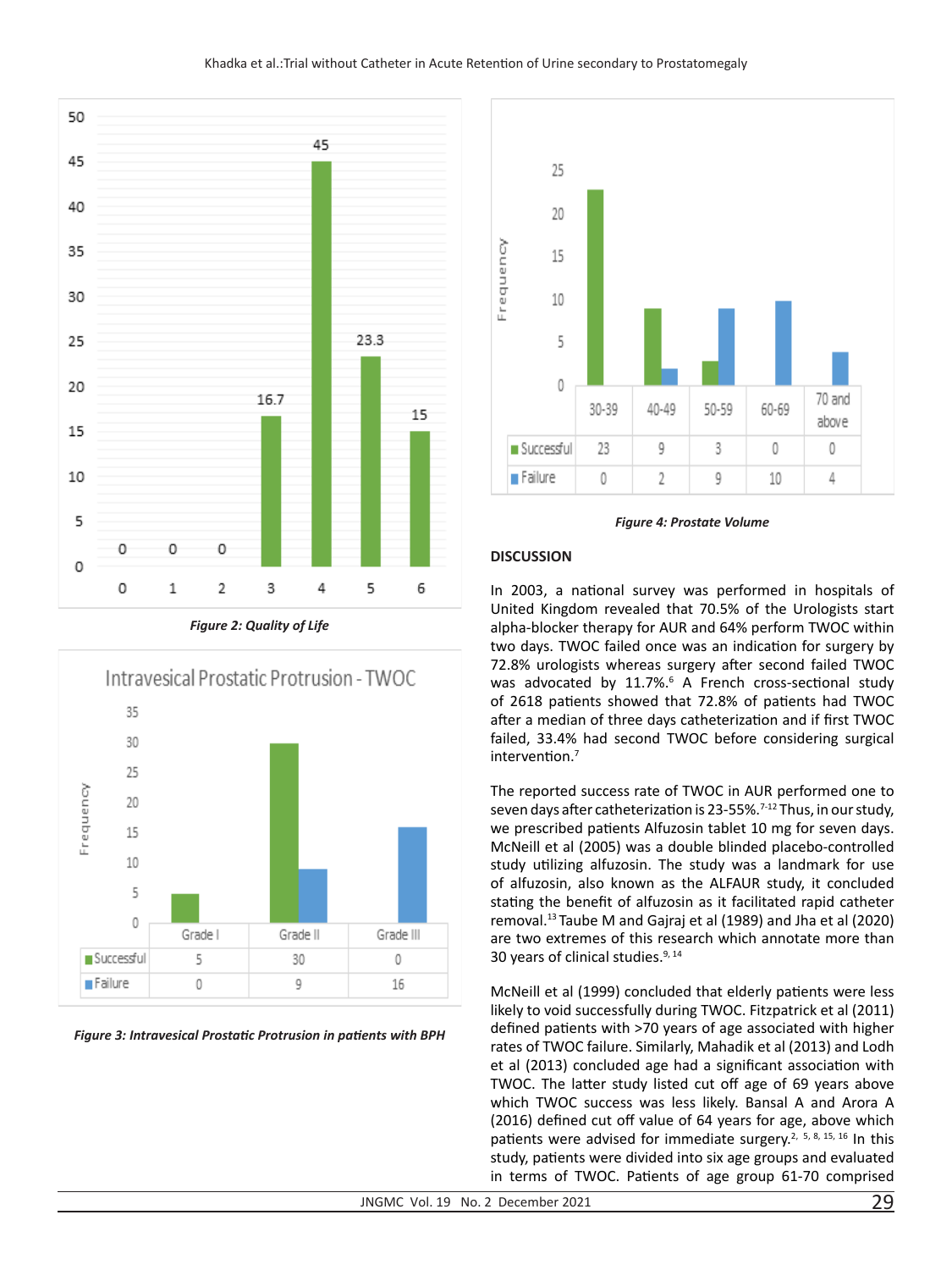

*Figure 2: Quality of Life*



*Figure 3: Intravesical Prostatic Protrusion in patients with BPH*



*Figure 4: Prostate Volume*

#### **DISCUSSION**

In 2003, a national survey was performed in hospitals of United Kingdom revealed that 70.5% of the Urologists start alpha-blocker therapy for AUR and 64% perform TWOC within two days. TWOC failed once was an indication for surgery by 72.8% urologists whereas surgery after second failed TWOC was advocated by 11.7%.<sup>6</sup> A French cross-sectional study of 2618 patients showed that 72.8% of patients had TWOC after a median of three days catheterization and if first TWOC failed, 33.4% had second TWOC before considering surgical intervention.<sup>7</sup>

The reported success rate of TWOC in AUR performed one to seven days after catheterization is 23-55%.<sup>7-12</sup> Thus, in our study, we prescribed patients Alfuzosin tablet 10 mg for seven days. McNeill et al (2005) was a double blinded placebo-controlled study utilizing alfuzosin. The study was a landmark for use of alfuzosin, also known as the ALFAUR study, it concluded stating the benefit of alfuzosin as it facilitated rapid catheter removal.13 Taube M and Gajraj et al (1989) and Jha et al (2020) are two extremes of this research which annotate more than 30 years of clinical studies.9, 14

McNeill et al (1999) concluded that elderly patients were less likely to void successfully during TWOC. Fitzpatrick et al (2011) defined patients with >70 years of age associated with higher rates of TWOC failure. Similarly, Mahadik et al (2013) and Lodh et al (2013) concluded age had a significant association with TWOC. The latter study listed cut off age of 69 years above which TWOC success was less likely. Bansal A and Arora A (2016) defined cut off value of 64 years for age, above which patients were advised for immediate surgery.<sup>2, 5, 8, 15, 16</sup> In this study, patients were divided into six age groups and evaluated in terms of TWOC. Patients of age group 61-70 comprised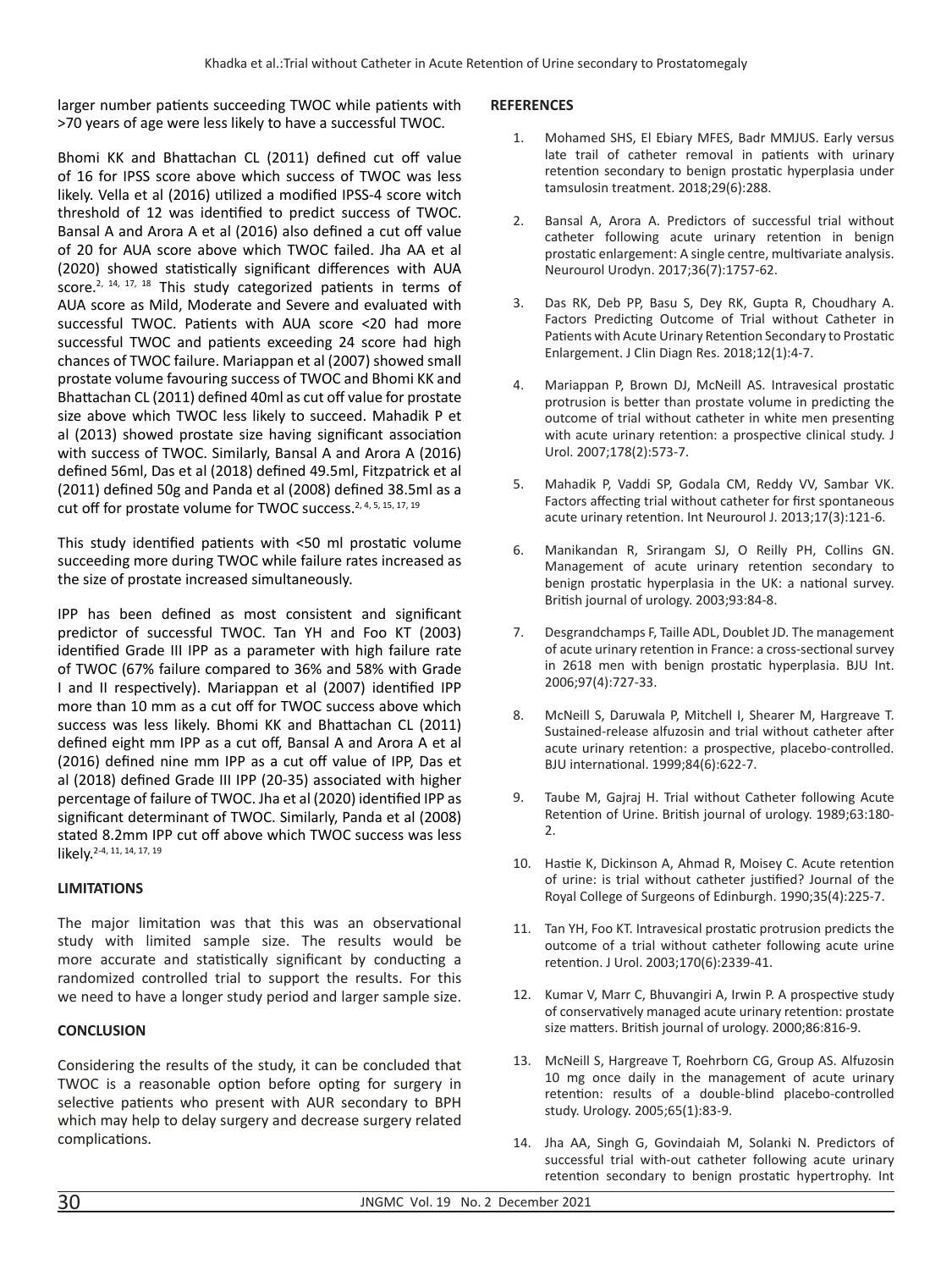larger number patients succeeding TWOC while patients with >70 years of age were less likely to have a successful TWOC.

Bhomi KK and Bhattachan CL (2011) defined cut off value of 16 for IPSS score above which success of TWOC was less likely. Vella et al (2016) utilized a modified IPSS-4 score witch threshold of 12 was identified to predict success of TWOC. Bansal A and Arora A et al (2016) also defined a cut off value of 20 for AUA score above which TWOC failed. Jha AA et al (2020) showed statistically significant differences with AUA score.<sup>2, 14, 17, 18</sup> This study categorized patients in terms of AUA score as Mild, Moderate and Severe and evaluated with successful TWOC. Patients with AUA score <20 had more successful TWOC and patients exceeding 24 score had high chances of TWOC failure. Mariappan et al (2007) showed small prostate volume favouring success of TWOC and Bhomi KK and Bhattachan CL (2011) defined 40ml as cut off value for prostate size above which TWOC less likely to succeed. Mahadik P et al (2013) showed prostate size having significant association with success of TWOC. Similarly, Bansal A and Arora A (2016) defined 56ml, Das et al (2018) defined 49.5ml, Fitzpatrick et al (2011) defined 50g and Panda et al (2008) defined 38.5ml as a cut off for prostate volume for TWOC success.<sup>2, 4, 5, 15, 17, 19</sup>

This study identified patients with <50 ml prostatic volume succeeding more during TWOC while failure rates increased as the size of prostate increased simultaneously.

IPP has been defined as most consistent and significant predictor of successful TWOC. Tan YH and Foo KT (2003) identified Grade III IPP as a parameter with high failure rate of TWOC (67% failure compared to 36% and 58% with Grade I and II respectively). Mariappan et al (2007) identified IPP more than 10 mm as a cut off for TWOC success above which success was less likely. Bhomi KK and Bhattachan CL (2011) defined eight mm IPP as a cut off, Bansal A and Arora A et al (2016) defined nine mm IPP as a cut off value of IPP, Das et al (2018) defined Grade III IPP (20-35) associated with higher percentage of failure of TWOC. Jha et al (2020) identified IPP as significant determinant of TWOC. Similarly, Panda et al (2008) stated 8.2mm IPP cut off above which TWOC success was less likely.<sup>2-4, 11, 14, 17, 19</sup>

# **LIMITATIONS**

The major limitation was that this was an observational study with limited sample size. The results would be more accurate and statistically significant by conducting a randomized controlled trial to support the results. For this we need to have a longer study period and larger sample size.

# **CONCLUSION**

Considering the results of the study, it can be concluded that TWOC is a reasonable option before opting for surgery in selective patients who present with AUR secondary to BPH which may help to delay surgery and decrease surgery related complications.

#### **REFERENCES**

- 1. Mohamed SHS, El Ebiary MFES, Badr MMJUS. Early versus late trail of catheter removal in patients with urinary retention secondary to benign prostatic hyperplasia under tamsulosin treatment. 2018;29(6):288.
- 2. Bansal A, Arora A. Predictors of successful trial without catheter following acute urinary retention in benign prostatic enlargement: A single centre, multivariate analysis. Neurourol Urodyn. 2017;36(7):1757-62.
- 3. Das RK, Deb PP, Basu S, Dey RK, Gupta R, Choudhary A. Factors Predicting Outcome of Trial without Catheter in Patients with Acute Urinary Retention Secondary to Prostatic Enlargement. J Clin Diagn Res. 2018;12(1):4-7.
- 4. Mariappan P, Brown DJ, McNeill AS. Intravesical prostatic protrusion is better than prostate volume in predicting the outcome of trial without catheter in white men presenting with acute urinary retention: a prospective clinical study. J Urol. 2007;178(2):573-7.
- 5. Mahadik P, Vaddi SP, Godala CM, Reddy VV, Sambar VK. Factors affecting trial without catheter for first spontaneous acute urinary retention. Int Neurourol J. 2013;17(3):121-6.
- 6. Manikandan R, Srirangam SJ, O Reilly PH, Collins GN. Management of acute urinary retention secondary to benign prostatic hyperplasia in the UK: a national survey. British journal of urology. 2003;93:84-8.
- 7. Desgrandchamps F, Taille ADL, Doublet JD. The management of acute urinary retention in France: a cross-sectional survey in 2618 men with benign prostatic hyperplasia. BJU Int. 2006;97(4):727-33.
- 8. McNeill S, Daruwala P, Mitchell I, Shearer M, Hargreave T. Sustained-release alfuzosin and trial without catheter after acute urinary retention: a prospective, placebo-controlled. BJU international. 1999;84(6):622-7.
- 9. Taube M, Gajraj H. Trial without Catheter following Acute Retention of Urine. British journal of urology. 1989;63:180- 2.
- 10. Hastie K, Dickinson A, Ahmad R, Moisey C. Acute retention of urine: is trial without catheter justified? Journal of the Royal College of Surgeons of Edinburgh. 1990;35(4):225-7.
- 11. Tan YH, Foo KT. Intravesical prostatic protrusion predicts the outcome of a trial without catheter following acute urine retention. J Urol. 2003;170(6):2339-41.
- 12. Kumar V, Marr C, Bhuvangiri A, Irwin P. A prospective study of conservatively managed acute urinary retention: prostate size matters. British journal of urology. 2000;86:816-9.
- 13. McNeill S, Hargreave T, Roehrborn CG, Group AS. Alfuzosin 10 mg once daily in the management of acute urinary retention: results of a double-blind placebo-controlled study. Urology. 2005;65(1):83-9.
- 14. Jha AA, Singh G, Govindaiah M, Solanki N. Predictors of successful trial with-out catheter following acute urinary retention secondary to benign prostatic hypertrophy. Int